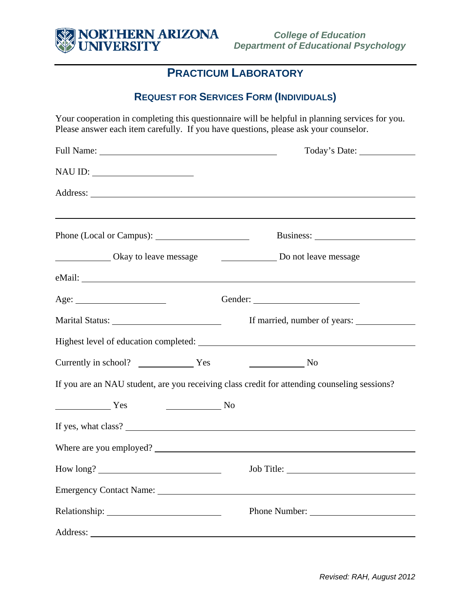

## **PRACTICUM LABORATORY**

### **REQUEST FOR SERVICES FORM (INDIVIDUALS)**

Your cooperation in completing this questionnaire will be helpful in planning services for you. Please answer each item carefully. If you have questions, please ask your counselor.

|                                                     | Today's Date:                                                                                |
|-----------------------------------------------------|----------------------------------------------------------------------------------------------|
|                                                     |                                                                                              |
|                                                     |                                                                                              |
|                                                     |                                                                                              |
| Okay to leave message                               | Do not leave message                                                                         |
|                                                     |                                                                                              |
| Age:                                                | Gender:                                                                                      |
| Marital Status: New York 1988                       | If married, number of years:                                                                 |
|                                                     |                                                                                              |
|                                                     | $\sim$ No                                                                                    |
|                                                     | If you are an NAU student, are you receiving class credit for attending counseling sessions? |
| $\overline{\phantom{a}}$ No<br><b>Example 3</b> Yes |                                                                                              |
|                                                     |                                                                                              |
| Where are you employed?                             |                                                                                              |
|                                                     |                                                                                              |
|                                                     |                                                                                              |
|                                                     | Phone Number:                                                                                |
|                                                     |                                                                                              |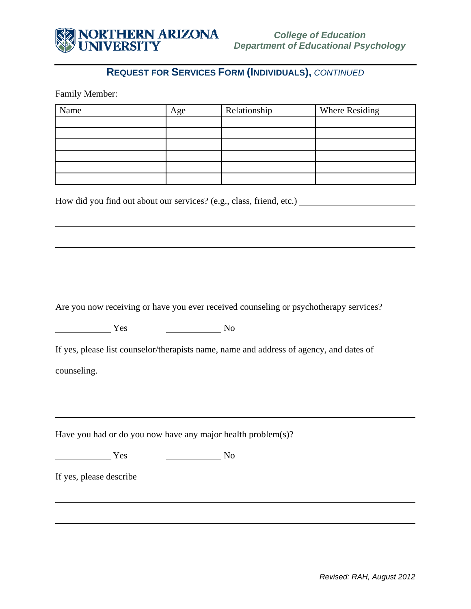

# **REQUEST FOR SERVICES FORM (INDIVIDUALS),** *CONTINUED*

Family Member:

|                                                                                                                                                                                                                                                                                                                                                                                                                      | Age                         | Relationship                                                                            | Where Residing |
|----------------------------------------------------------------------------------------------------------------------------------------------------------------------------------------------------------------------------------------------------------------------------------------------------------------------------------------------------------------------------------------------------------------------|-----------------------------|-----------------------------------------------------------------------------------------|----------------|
|                                                                                                                                                                                                                                                                                                                                                                                                                      |                             |                                                                                         |                |
|                                                                                                                                                                                                                                                                                                                                                                                                                      |                             |                                                                                         |                |
|                                                                                                                                                                                                                                                                                                                                                                                                                      |                             |                                                                                         |                |
|                                                                                                                                                                                                                                                                                                                                                                                                                      |                             |                                                                                         |                |
|                                                                                                                                                                                                                                                                                                                                                                                                                      |                             |                                                                                         |                |
|                                                                                                                                                                                                                                                                                                                                                                                                                      |                             |                                                                                         |                |
|                                                                                                                                                                                                                                                                                                                                                                                                                      |                             |                                                                                         |                |
|                                                                                                                                                                                                                                                                                                                                                                                                                      |                             |                                                                                         |                |
|                                                                                                                                                                                                                                                                                                                                                                                                                      |                             |                                                                                         |                |
|                                                                                                                                                                                                                                                                                                                                                                                                                      |                             |                                                                                         |                |
|                                                                                                                                                                                                                                                                                                                                                                                                                      |                             |                                                                                         |                |
|                                                                                                                                                                                                                                                                                                                                                                                                                      |                             |                                                                                         |                |
|                                                                                                                                                                                                                                                                                                                                                                                                                      |                             |                                                                                         |                |
|                                                                                                                                                                                                                                                                                                                                                                                                                      |                             | Are you now receiving or have you ever received counseling or psychotherapy services?   |                |
| $\frac{1}{\sqrt{1-\frac{1}{2}}\sqrt{1-\frac{1}{2}}\sqrt{1-\frac{1}{2}}\sqrt{1-\frac{1}{2}}\sqrt{1-\frac{1}{2}}\sqrt{1-\frac{1}{2}}\sqrt{1-\frac{1}{2}}\sqrt{1-\frac{1}{2}}\sqrt{1-\frac{1}{2}}\sqrt{1-\frac{1}{2}}\sqrt{1-\frac{1}{2}}\sqrt{1-\frac{1}{2}}\sqrt{1-\frac{1}{2}}\sqrt{1-\frac{1}{2}}\sqrt{1-\frac{1}{2}}\sqrt{1-\frac{1}{2}}\sqrt{1-\frac{1}{2}}\sqrt{1-\frac{1}{2}}\sqrt{1-\frac{1}{2}}\sqrt{1-\frac$ | $\overline{\phantom{a}}$ No |                                                                                         |                |
|                                                                                                                                                                                                                                                                                                                                                                                                                      |                             |                                                                                         |                |
|                                                                                                                                                                                                                                                                                                                                                                                                                      |                             |                                                                                         |                |
|                                                                                                                                                                                                                                                                                                                                                                                                                      |                             | If yes, please list counselor/therapists name, name and address of agency, and dates of |                |
|                                                                                                                                                                                                                                                                                                                                                                                                                      |                             | counseling.                                                                             |                |
|                                                                                                                                                                                                                                                                                                                                                                                                                      |                             |                                                                                         |                |
|                                                                                                                                                                                                                                                                                                                                                                                                                      |                             |                                                                                         |                |
|                                                                                                                                                                                                                                                                                                                                                                                                                      |                             |                                                                                         |                |
|                                                                                                                                                                                                                                                                                                                                                                                                                      |                             |                                                                                         |                |
|                                                                                                                                                                                                                                                                                                                                                                                                                      |                             | Have you had or do you now have any major health problem(s)?                            |                |
| Yes                                                                                                                                                                                                                                                                                                                                                                                                                  |                             | N <sub>o</sub>                                                                          |                |
|                                                                                                                                                                                                                                                                                                                                                                                                                      |                             |                                                                                         |                |
|                                                                                                                                                                                                                                                                                                                                                                                                                      |                             |                                                                                         |                |
|                                                                                                                                                                                                                                                                                                                                                                                                                      |                             |                                                                                         |                |